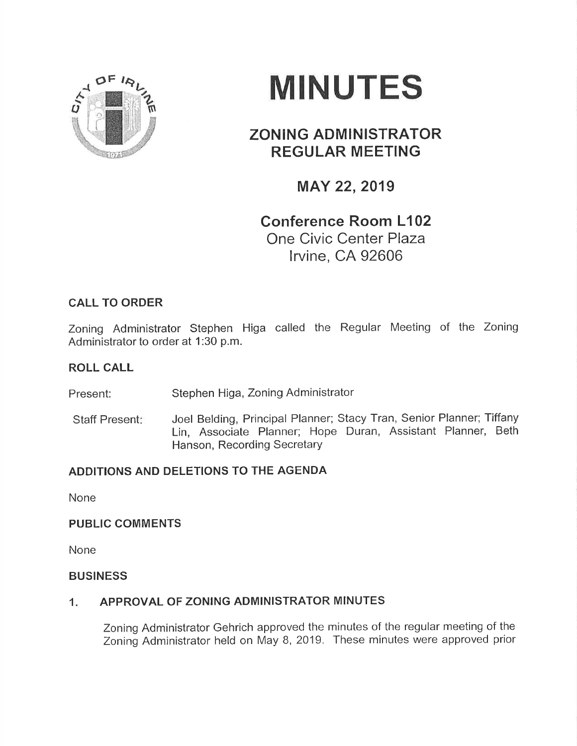

# MINUTES

# ZONING ADMINISTRATOR REGULAR MEETING

## MAY 22,2019

# Conference Room L102 One Civic Center Plaza lrvine, CA 92606

## CALL TO ORDER

Zoning Administrator Stephen Higa called the Regular Meeting of the Zoning Administrator to order at 1:30 p.m.

## ROLL CALL

Present: Stephen Higa, Zoning Administrator

Staff Present: Joel Belding, Principal Planner; Stacy Tran, Senior Planner; Tiffany Lin, Associate Planner; Hope Duran, Assistant Planner, Beth Hanson, Recording Secretary

## ADDITIONS AND DELETIONS TO THE AGENDA

None

#### PUBLIC COMMENTS

None

#### BUSINESS

#### 1. APPROVAL OF ZONING ADMINISTRATOR MINUTES

Zoning Administrator Gehrich approved the minutes of the regular meeting of the Zoning Administrator held on May 8,2019. These minutes were approved prior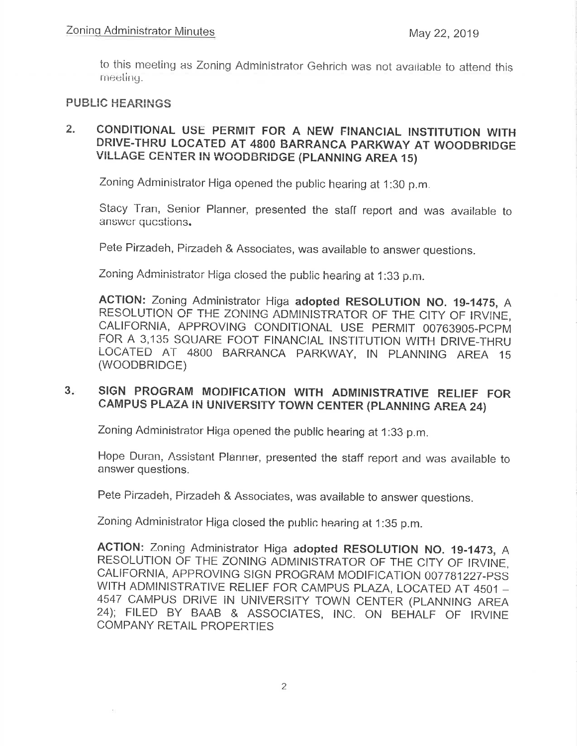to this meeting as Zoning Administrator Gehrich was not available to attend this meeting.

#### **PUBLIC HEARINGS**

#### CONDITIONAL USE PERMIT FOR A NEW FINANCIAL INSTITUTION WITH  $2.$ DRIVE-THRU LOCATED AT 4800 BARRANCA PARKWAY AT WOODBRIDGE VILLAGE CENTER IN WOODBRIDGE (PLANNING AREA 15)

Zoning Administrator Higa opened the public hearing at 1:30 p.m.

Stacy Tran, Senior Planner, presented the staff report and was available to answer questions.

Pete Pirzadeh, Pirzadeh & Associates, was available to answer questions.

Zoning Administrator Higa closed the public hearing at 1:33 p.m.

ACTION: Zoning Administrator Higa adopted RESOLUTION NO. 19-1475, A RESOLUTION OF THE ZONING ADMINISTRATOR OF THE CITY OF IRVINE. CALIFORNIA, APPROVING CONDITIONAL USE PERMIT 00763905-PCPM FOR A 3,135 SQUARE FOOT FINANCIAL INSTITUTION WITH DRIVE-THRU LOCATED AT 4800 BARRANCA PARKWAY, IN PLANNING AREA 15 (WOODBRIDGE)

#### SIGN PROGRAM MODIFICATION WITH ADMINISTRATIVE RELIEF FOR  $3 -$ CAMPUS PLAZA IN UNIVERSITY TOWN CENTER (PLANNING AREA 24)

Zoning Administrator Higa opened the public hearing at 1:33 p.m.

Hope Duran, Assistant Planner, presented the staff report and was available to answer questions.

Pete Pirzadeh, Pirzadeh & Associates, was available to answer questions.

Zoning Administrator Higa closed the public hearing at 1:35 p.m.

ACTION: Zoning Administrator Higa adopted RESOLUTION NO. 19-1473, A RESOLUTION OF THE ZONING ADMINISTRATOR OF THE CITY OF IRVINE, CALIFORNIA, APPROVING SIGN PROGRAM MODIFICATION 007781227-PSS WITH ADMINISTRATIVE RELIEF FOR CAMPUS PLAZA, LOCATED AT 4501 -4547 CAMPUS DRIVE IN UNIVERSITY TOWN CENTER (PLANNING AREA 24); FILED BY BAAB & ASSOCIATES, INC. ON BEHALF OF IRVINE COMPANY RETAIL PROPERTIES